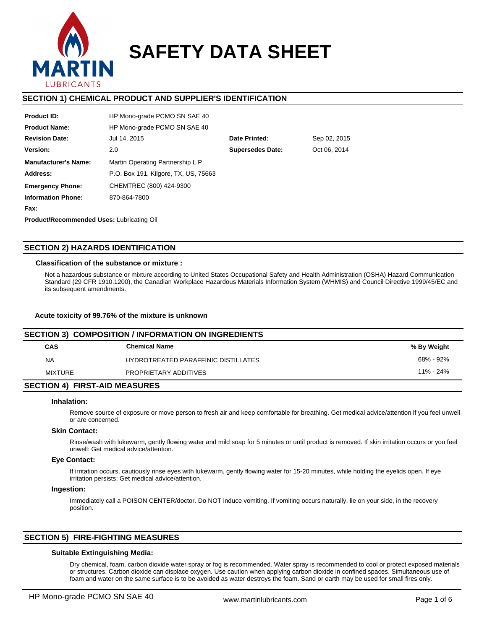

# **SAFETY DATA SHEET**

# **SECTION 1) CHEMICAL PRODUCT AND SUPPLIER'S IDENTIFICATION**

| <b>Product ID:</b>          | HP Mono-grade PCMO SN SAE 40         |                         |              |
|-----------------------------|--------------------------------------|-------------------------|--------------|
| <b>Product Name:</b>        | HP Mono-grade PCMO SN SAE 40         |                         |              |
| <b>Revision Date:</b>       | Jul 14, 2015                         | Date Printed:           | Sep 02, 2015 |
| Version:                    | 2.0                                  | <b>Supersedes Date:</b> | Oct 06, 2014 |
| <b>Manufacturer's Name:</b> | Martin Operating Partnership L.P.    |                         |              |
| Address:                    | P.O. Box 191, Kilgore, TX, US, 75663 |                         |              |
| <b>Emergency Phone:</b>     | CHEMTREC (800) 424-9300              |                         |              |
| <b>Information Phone:</b>   | 870-864-7800                         |                         |              |
| Fax:                        |                                      |                         |              |
|                             |                                      |                         |              |

**Product/Recommended Uses:** Lubricating Oil

# **SECTION 2) HAZARDS IDENTIFICATION**

## **Classification of the substance or mixture :**

Not a hazardous substance or mixture according to United States Occupational Safety and Health Administration (OSHA) Hazard Communication Standard (29 CFR 1910.1200), the Canadian Workplace Hazardous Materials Information System (WHMIS) and Council Directive 1999/45/EC and its subsequent amendments.

## **Acute toxicity of 99.76% of the mixture is unknown**

| SECTION 3) COMPOSITION / INFORMATION ON INGREDIENTS |                                     |               |  |  |  |
|-----------------------------------------------------|-------------------------------------|---------------|--|--|--|
| <b>CAS</b>                                          | <b>Chemical Name</b>                | % By Weight   |  |  |  |
| NA                                                  | HYDROTREATED PARAFFINIC DISTILLATES | 68% - 92%     |  |  |  |
| MIXTURE                                             | PROPRIETARY ADDITIVES               | $11\% - 24\%$ |  |  |  |
| <b>SECTION 4) FIRST-AID MEASURES</b>                |                                     |               |  |  |  |

## **Inhalation:**

Remove source of exposure or move person to fresh air and keep comfortable for breathing. Get medical advice/attention if you feel unwell or are concerned.

## **Skin Contact:**

Rinse/wash with lukewarm, gently flowing water and mild soap for 5 minutes or until product is removed. If skin irritation occurs or you feel unwell: Get medical advice/attention.

# **Eye Contact:**

If irritation occurs, cautiously rinse eyes with lukewarm, gently flowing water for 15-20 minutes, while holding the eyelids open. If eye irritation persists: Get medical advice/attention.

#### **Ingestion:**

Immediately call a POISON CENTER/doctor. Do NOT induce vomiting. If vomiting occurs naturally, lie on your side, in the recovery position.

# **SECTION 5) FIRE-FIGHTING MEASURES**

## **Suitable Extinguishing Media:**

Dry chemical, foam, carbon dioxide water spray or fog is recommended. Water spray is recommended to cool or protect exposed materials or structures. Carbon dioxide can displace oxygen. Use caution when applying carbon dioxide in confined spaces. Simultaneous use of foam and water on the same surface is to be avoided as water destroys the foam. Sand or earth may be used for small fires only.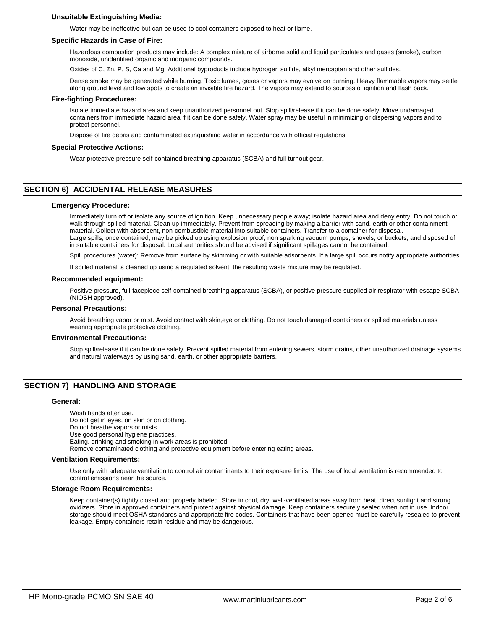## **Unsuitable Extinguishing Media:**

Water may be ineffective but can be used to cool containers exposed to heat or flame.

#### **Specific Hazards in Case of Fire:**

Hazardous combustion products may include: A complex mixture of airborne solid and liquid particulates and gases (smoke), carbon monoxide, unidentified organic and inorganic compounds.

Oxides of C, Zn, P, S, Ca and Mg. Additional byproducts include hydrogen sulfide, alkyl mercaptan and other sulfides.

Dense smoke may be generated while burning. Toxic fumes, gases or vapors may evolve on burning. Heavy flammable vapors may settle along ground level and low spots to create an invisible fire hazard. The vapors may extend to sources of ignition and flash back.

#### **Fire-fighting Procedures:**

Isolate immediate hazard area and keep unauthorized personnel out. Stop spill/release if it can be done safely. Move undamaged containers from immediate hazard area if it can be done safely. Water spray may be useful in minimizing or dispersing vapors and to protect personnel.

Dispose of fire debris and contaminated extinguishing water in accordance with official regulations.

#### **Special Protective Actions:**

Wear protective pressure self-contained breathing apparatus (SCBA) and full turnout gear.

# **SECTION 6) ACCIDENTAL RELEASE MEASURES**

#### **Emergency Procedure:**

Immediately turn off or isolate any source of ignition. Keep unnecessary people away; isolate hazard area and deny entry. Do not touch or walk through spilled material. Clean up immediately. Prevent from spreading by making a barrier with sand, earth or other containment material. Collect with absorbent, non-combustible material into suitable containers. Transfer to a container for disposal. Large spills, once contained, may be picked up using explosion proof, non sparking vacuum pumps, shovels, or buckets, and disposed of in suitable containers for disposal. Local authorities should be advised if significant spillages cannot be contained.

Spill procedures (water): Remove from surface by skimming or with suitable adsorbents. If a large spill occurs notify appropriate authorities.

If spilled material is cleaned up using a regulated solvent, the resulting waste mixture may be regulated.

#### **Recommended equipment:**

Positive pressure, full-facepiece self-contained breathing apparatus (SCBA), or positive pressure supplied air respirator with escape SCBA (NIOSH approved).

#### **Personal Precautions:**

Avoid breathing vapor or mist. Avoid contact with skin,eye or clothing. Do not touch damaged containers or spilled materials unless wearing appropriate protective clothing.

#### **Environmental Precautions:**

Stop spill/release if it can be done safely. Prevent spilled material from entering sewers, storm drains, other unauthorized drainage systems and natural waterways by using sand, earth, or other appropriate barriers.

## **SECTION 7) HANDLING AND STORAGE**

#### **General:**

Wash hands after use. Do not get in eyes, on skin or on clothing. Do not breathe vapors or mists. Use good personal hygiene practices. Eating, drinking and smoking in work areas is prohibited. Remove contaminated clothing and protective equipment before entering eating areas.

#### **Ventilation Requirements:**

Use only with adequate ventilation to control air contaminants to their exposure limits. The use of local ventilation is recommended to control emissions near the source.

#### **Storage Room Requirements:**

Keep container(s) tightly closed and properly labeled. Store in cool, dry, well-ventilated areas away from heat, direct sunlight and strong oxidizers. Store in approved containers and protect against physical damage. Keep containers securely sealed when not in use. Indoor storage should meet OSHA standards and appropriate fire codes. Containers that have been opened must be carefully resealed to prevent leakage. Empty containers retain residue and may be dangerous.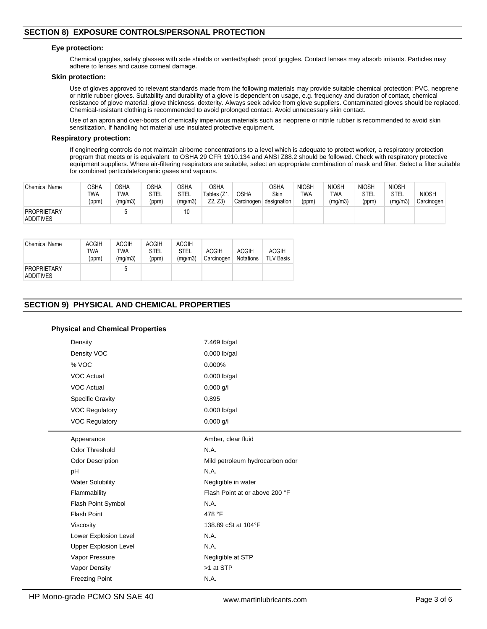# **SECTION 8) EXPOSURE CONTROLS/PERSONAL PROTECTION**

## **Eye protection:**

Chemical goggles, safety glasses with side shields or vented/splash proof goggles. Contact lenses may absorb irritants. Particles may adhere to lenses and cause corneal damage.

#### **Skin protection:**

Use of gloves approved to relevant standards made from the following materials may provide suitable chemical protection: PVC, neoprene or nitrile rubber gloves. Suitability and durability of a glove is dependent on usage, e.g. frequency and duration of contact, chemical resistance of glove material, glove thickness, dexterity. Always seek advice from glove suppliers. Contaminated gloves should be replaced. Chemical-resistant clothing is recommended to avoid prolonged contact. Avoid unnecessary skin contact.

Use of an apron and over-boots of chemically impervious materials such as neoprene or nitrile rubber is recommended to avoid skin sensitization. If handling hot material use insulated protective equipment.

#### **Respiratory protection:**

If engineering controls do not maintain airborne concentrations to a level which is adequate to protect worker, a respiratory protection program that meets or is equivalent to OSHA 29 CFR 1910.134 and ANSI Z88.2 should be followed. Check with respiratory protective equipment suppliers. Where air-filtering respirators are suitable, select an appropriate combination of mask and filter. Select a filter suitable for combined particulate/organic gases and vapours.

| <b>Chemical Name</b>                   | OSHA<br><b>TWA</b><br>(ppm) | <b>OSHA</b><br>TWA<br>(mg/m3) | <b>OSHA</b><br>STEL<br>(ppm) | <b>OSHA</b><br>STEL<br>(mg/m3) | <b>OSHA</b><br>Tables (Z1<br>Z2, Z3) | <b>OSHA</b><br>Carcinogen | <b>OSHA</b><br>Skin<br>designation | <b>NIOSH</b><br><b>TWA</b><br>(ppm) | <b>NIOSH</b><br><b>TWA</b><br>(mg/m3) | <b>NIOSH</b><br>STEL<br>(ppm) | <b>NIOSH</b><br><b>STEL</b><br>(mg/m3) | <b>NIOSH</b><br>Carcinogen |
|----------------------------------------|-----------------------------|-------------------------------|------------------------------|--------------------------------|--------------------------------------|---------------------------|------------------------------------|-------------------------------------|---------------------------------------|-------------------------------|----------------------------------------|----------------------------|
| <b>PROPRIETARY</b><br><b>ADDITIVES</b> |                             |                               |                              | 10                             |                                      |                           |                                    |                                     |                                       |                               |                                        |                            |

| Chemical Name                          | <b>ACGIH</b><br>TWA<br>(ppm) | <b>ACGIH</b><br>TWA<br>(mq/m3) | <b>ACGIH</b><br><b>STEL</b><br>(ppm) | <b>ACGIH</b><br><b>STEL</b><br>(ma/m3) | <b>ACGIH</b><br>Carcinogen | <b>ACGIH</b><br><b>Notations</b> | <b>ACGIH</b><br><b>TLV Basis</b> |
|----------------------------------------|------------------------------|--------------------------------|--------------------------------------|----------------------------------------|----------------------------|----------------------------------|----------------------------------|
| <b>PROPRIETARY</b><br><b>ADDITIVES</b> |                              | 5                              |                                      |                                        |                            |                                  |                                  |

# **SECTION 9) PHYSICAL AND CHEMICAL PROPERTIES**

## **Physical and Chemical Properties**

| Density                      | 7.469 lb/gal                    |  |  |  |
|------------------------------|---------------------------------|--|--|--|
| Density VOC                  | $0.000$ lb/gal                  |  |  |  |
| % VOC                        | 0.000%                          |  |  |  |
| <b>VOC Actual</b>            | $0.000$ lb/gal                  |  |  |  |
| <b>VOC Actual</b>            | $0.000$ g/l                     |  |  |  |
| <b>Specific Gravity</b>      | 0.895                           |  |  |  |
| <b>VOC Regulatory</b>        | $0.000$ lb/gal                  |  |  |  |
| <b>VOC Regulatory</b>        | $0.000$ g/l                     |  |  |  |
| Appearance                   | Amber, clear fluid              |  |  |  |
| <b>Odor Threshold</b>        | N.A.                            |  |  |  |
| <b>Odor Description</b>      | Mild petroleum hydrocarbon odor |  |  |  |
| pH                           | N.A.                            |  |  |  |
| <b>Water Solubility</b>      | Negligible in water             |  |  |  |
| Flammability                 | Flash Point at or above 200 °F  |  |  |  |
| Flash Point Symbol           | N.A.                            |  |  |  |
| <b>Flash Point</b>           | 478 °F                          |  |  |  |
| Viscosity                    | 138.89 cSt at 104°F             |  |  |  |
| Lower Explosion Level        | N.A.                            |  |  |  |
| <b>Upper Explosion Level</b> | N.A.                            |  |  |  |
| Vapor Pressure               | Negligible at STP               |  |  |  |
| Vapor Density                | >1 at STP                       |  |  |  |
| <b>Freezing Point</b>        | N.A.                            |  |  |  |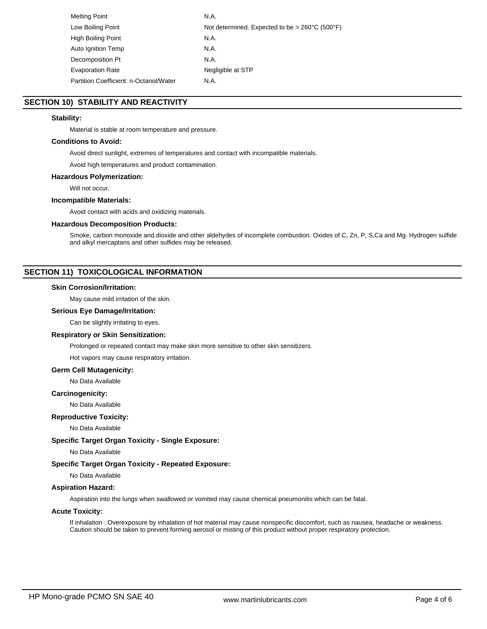| Melting Point                          | N.A.                                                                |
|----------------------------------------|---------------------------------------------------------------------|
| Low Boiling Point                      | Not determined. Expected to be $> 260^{\circ}$ C (500 $^{\circ}$ F) |
| High Boiling Point                     | N.A.                                                                |
| Auto Ignition Temp                     | N.A.                                                                |
| Decomposition Pt                       | N.A.                                                                |
| <b>Evaporation Rate</b>                | Negligible at STP                                                   |
| Partition Coefficient: n-Octanol/Water | N.A.                                                                |

# **SECTION 10) STABILITY AND REACTIVITY**

# **Stability:**

Material is stable at room temperature and pressure.

## **Conditions to Avoid:**

Avoid direct sunlight, extremes of temperatures and contact with incompatible materials.

Avoid high temperatures and product contamination.

## **Hazardous Polymerization:**

Will not occur.

## **Incompatible Materials:**

Avoid contact with acids and oxidizing materials.

#### **Hazardous Decomposition Products:**

Smoke, carbon monoxide and dioxide and other aldehydes of incomplete combustion. Oxides of C, Zn, P, S,Ca and Mg. Hydrogen sulfide and alkyl mercaptans and other sulfides may be released.

# **SECTION 11) TOXICOLOGICAL INFORMATION**

#### **Skin Corrosion/Irritation:**

May cause mild irritation of the skin.

## **Serious Eye Damage/Irritation:**

Can be slightly irritating to eyes.

#### **Respiratory or Skin Sensitization:**

Prolonged or repeated contact may make skin more sensitive to other skin sensitizers.

Hot vapors may cause respiratory irritation.

#### **Germ Cell Mutagenicity:**

No Data Available

#### **Carcinogenicity:**

No Data Available

#### **Reproductive Toxicity:**

No Data Available

# **Specific Target Organ Toxicity - Single Exposure:**

No Data Available

# **Specific Target Organ Toxicity - Repeated Exposure:**

No Data Available

# **Aspiration Hazard:**

Aspiration into the lungs when swallowed or vomited may cause chemical pneumonitis which can be fatal.

# **Acute Toxicity:**

If inhalation : Overexposure by inhalation of hot material may cause nonspecific discomfort, such as nausea, headache or weakness. Caution should be taken to prevent forming aerosol or misting of this product without proper respiratory protection.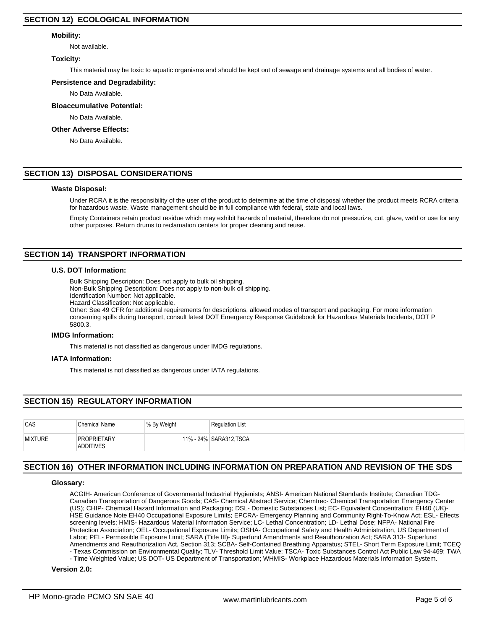## **Mobility:**

Not available.

## **Toxicity:**

This material may be toxic to aquatic organisms and should be kept out of sewage and drainage systems and all bodies of water.

#### **Persistence and Degradability:**

No Data Available.

#### **Bioaccumulative Potential:**

No Data Available.

#### **Other Adverse Effects:**

No Data Available.

## **SECTION 13) DISPOSAL CONSIDERATIONS**

#### **Waste Disposal:**

Under RCRA it is the responsibility of the user of the product to determine at the time of disposal whether the product meets RCRA criteria for hazardous waste. Waste management should be in full compliance with federal, state and local laws.

Empty Containers retain product residue which may exhibit hazards of material, therefore do not pressurize, cut, glaze, weld or use for any other purposes. Return drums to reclamation centers for proper cleaning and reuse.

## **SECTION 14) TRANSPORT INFORMATION**

#### **U.S. DOT Information:**

Bulk Shipping Description: Does not apply to bulk oil shipping.

Non-Bulk Shipping Description: Does not apply to non-bulk oil shipping.

Identification Number: Not applicable.

Hazard Classification: Not applicable.

Other: See 49 CFR for additional requirements for descriptions, allowed modes of transport and packaging. For more information concerning spills during transport, consult latest DOT Emergency Response Guidebook for Hazardous Materials Incidents, DOT P 5800.3.

#### **IMDG Information:**

This material is not classified as dangerous under IMDG regulations.

#### **IATA Information:**

This material is not classified as dangerous under IATA regulations.

# **SECTION 15) REGULATORY INFORMATION**

| CAS            | <b>Chemical Name</b>                   | % By Weight | <b>Requlation List</b> |
|----------------|----------------------------------------|-------------|------------------------|
| <b>MIXTURE</b> | <b>PROPRIETARY</b><br><b>ADDITIVES</b> |             | 11% - 24% SARA312.TSCA |

# **SECTION 16) OTHER INFORMATION INCLUDING INFORMATION ON PREPARATION AND REVISION OF THE SDS**

## **Glossary:**

ACGIH- American Conference of Governmental Industrial Hygienists; ANSI- American National Standards Institute; Canadian TDG-Canadian Transportation of Dangerous Goods; CAS- Chemical Abstract Service; Chemtrec- Chemical Transportation Emergency Center (US); CHIP- Chemical Hazard Information and Packaging; DSL- Domestic Substances List; EC- Equivalent Concentration; EH40 (UK)- HSE Guidance Note EH40 Occupational Exposure Limits; EPCRA- Emergency Planning and Community Right-To-Know Act; ESL- Effects screening levels; HMIS- Hazardous Material Information Service; LC- Lethal Concentration; LD- Lethal Dose; NFPA- National Fire Protection Association; OEL- Occupational Exposure Limits; OSHA- Occupational Safety and Health Administration, US Department of Labor; PEL- Permissible Exposure Limit; SARA (Title III)- Superfund Amendments and Reauthorization Act; SARA 313- Superfund Amendments and Reauthorization Act, Section 313; SCBA- Self-Contained Breathing Apparatus; STEL- Short Term Exposure Limit; TCEQ - Texas Commission on Environmental Quality; TLV- Threshold Limit Value; TSCA- Toxic Substances Control Act Public Law 94-469; TWA

- Time Weighted Value; US DOT- US Department of Transportation; WHMIS- Workplace Hazardous Materials Information System.

## **Version 2.0:**